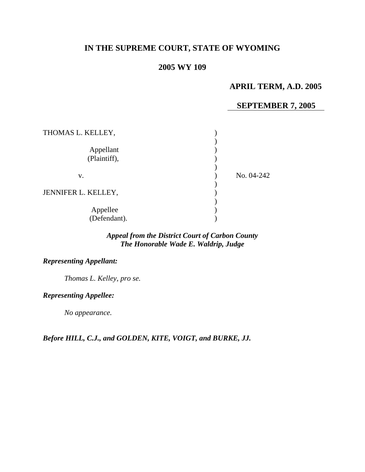# **IN THE SUPREME COURT, STATE OF WYOMING**

## **2005 WY 109**

## **APRIL TERM, A.D. 2005**

#### **SEPTEMBER 7, 2005**

| THOMAS L. KELLEY,         |            |
|---------------------------|------------|
| Appellant<br>(Plaintiff), |            |
| v.                        | No. 04-242 |
| JENNIFER L. KELLEY,       |            |
| Appellee<br>(Defendant).  |            |

### *Appeal from the District Court of Carbon County The Honorable Wade E. Waldrip, Judge*

#### *Representing Appellant:*

*Thomas L. Kelley, pro se.* 

### *Representing Appellee:*

 *No appearance.* 

*Before HILL, C.J., and GOLDEN, KITE, VOIGT, and BURKE, JJ.*